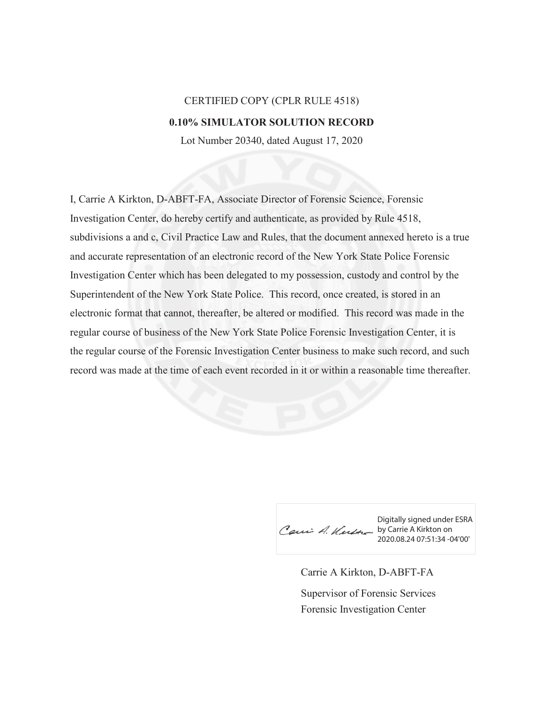## CERTIFIED COPY (CPLR RULE 4518) **0.10% SIMULATOR SOLUTION RECORD**

Lot Number 20340, dated August 17, 2020

I, Carrie A Kirkton, D-ABFT-FA, Associate Director of Forensic Science, Forensic Investigation Center, do hereby certify and authenticate, as provided by Rule 4518, subdivisions a and c, Civil Practice Law and Rules, that the document annexed hereto is a true and accurate representation of an electronic record of the New York State Police Forensic Investigation Center which has been delegated to my possession, custody and control by the Superintendent of the New York State Police. This record, once created, is stored in an electronic format that cannot, thereafter, be altered or modified. This record was made in the regular course of business of the New York State Police Forensic Investigation Center, it is the regular course of the Forensic Investigation Center business to make such record, and such record was made at the time of each event recorded in it or within a reasonable time thereafter.

Digitally signed under ESRA Caui A. Kurth by Carrie A Kirkton on 2020.08.24 07:51:34 -04'00'

Carrie A Kirkton, D-ABFT-FA Forensic Investigation Center Supervisor of Forensic Services